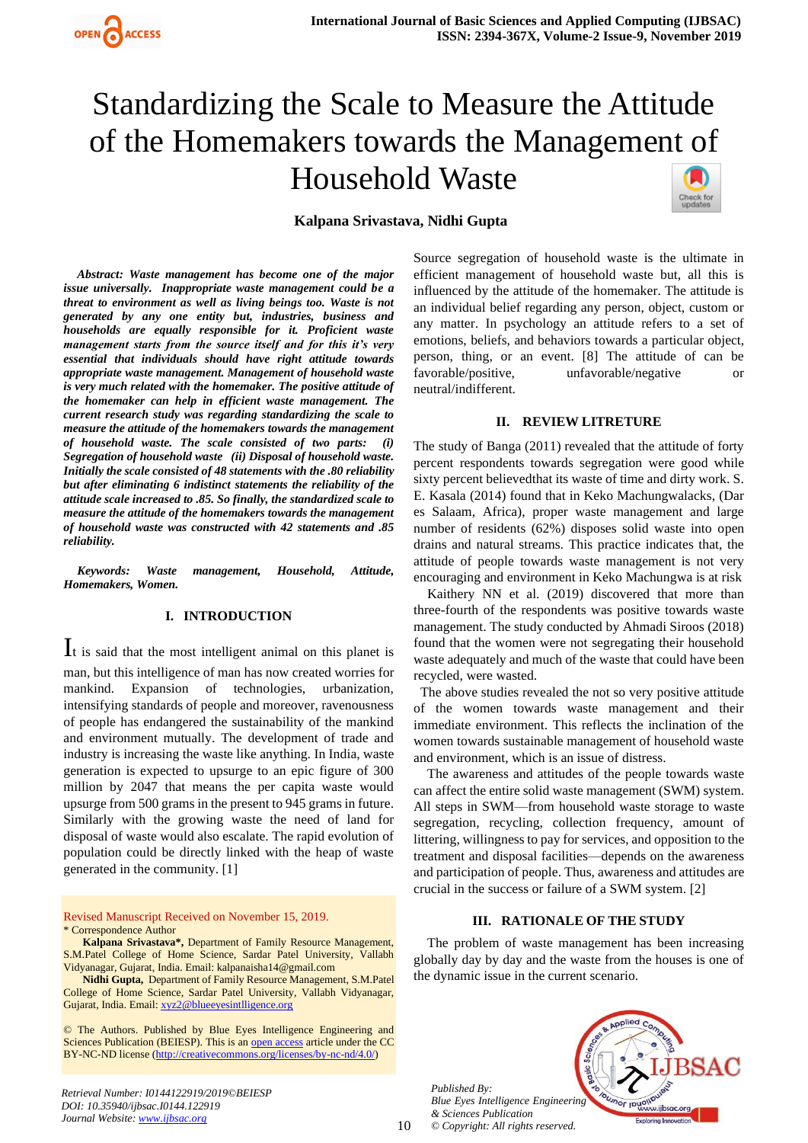

# Standardizing the Scale to Measure the Attitude of the Homemakers towards the Management of Household Waste



*Abstract: Waste management has become one of the major issue universally. Inappropriate waste management could be a threat to environment as well as living beings too. Waste is not generated by any one entity but, industries, business and households are equally responsible for it. Proficient waste management starts from the source itself and for this it's very essential that individuals should have right attitude towards appropriate waste management. Management of household waste is very much related with the homemaker. The positive attitude of the homemaker can help in efficient waste management. The current research study was regarding standardizing the scale to measure the attitude of the homemakers towards the management of household waste. The scale consisted of two parts: (i) Segregation of household waste (ii) Disposal of household waste. Initially the scale consisted of 48 statements with the .80 reliability but after eliminating 6 indistinct statements the reliability of the attitude scale increased to .85. So finally, the standardized scale to measure the attitude of the homemakers towards the management of household waste was constructed with 42 statements and .85 reliability.*

*Keywords: Waste management, Household, Attitude, Homemakers, Women.*

## **I. INTRODUCTION**

It is said that the most intelligent animal on this planet is man, but this intelligence of man has now created worries for mankind. Expansion of technologies, urbanization, intensifying standards of people and moreover, ravenousness of people has endangered the sustainability of the mankind and environment mutually. The development of trade and industry is increasing the waste like anything. In India, waste generation is expected to upsurge to an epic figure of 300 million by 2047 that means the per capita waste would upsurge from 500 grams in the present to 945 grams in future. Similarly with the growing waste the need of land for disposal of waste would also escalate. The rapid evolution of population could be directly linked with the heap of waste generated in the community. [1]

Revised Manuscript Received on November 15, 2019. \* Correspondence Author

**Kalpana Srivastava\*,** Department of Family Resource Management, S.M.Patel College of Home Science, Sardar Patel University, Vallabh Vidyanagar, Gujarat, India. Email: kalpanaisha14@gmail.com

**Nidhi Gupta,** Department of Family Resource Management, S.M.Patel College of Home Science, Sardar Patel University, Vallabh Vidyanagar, Gujarat, India. Email[: xyz2@blueeyesintlligence.org](mailto:xyz2@blueeyesintlligence.org)

© The Authors. Published by Blue Eyes Intelligence Engineering and Sciences Publication (BEIESP). This is an [open access](https://www.openaccess.nl/en/open-publications) article under the CC BY-NC-ND license [\(http://creativecommons.org/licenses/by-nc-nd/4.0/\)](http://creativecommons.org/licenses/by-nc-nd/4.0/)

*Retrieval Number: I0144122919/2019©BEIESP DOI: 10.35940/ijbsac.I0144.122919 Journal Website: [www.ijbsac.org](http://www.ijbsac.org/)*

Source segregation of household waste is the ultimate in efficient management of household waste but, all this is influenced by the attitude of the homemaker. The attitude is an individual belief regarding any person, object, custom or any matter. In psychology an attitude refers to a set of emotions, beliefs, and behaviors towards a particular object, person, thing, or an event. [8] The attitude of can be favorable/positive, unfavorable/negative or neutral/indifferent.

#### **II. REVIEW LITRETURE**

The study of Banga (2011) revealed that the attitude of forty percent respondents towards segregation were good while sixty percent believedthat its waste of time and dirty work. S. E. Kasala (2014) found that in Keko Machungwalacks, (Dar es Salaam, Africa), proper waste management and large number of residents (62%) disposes solid waste into open drains and natural streams. This practice indicates that, the attitude of people towards waste management is not very encouraging and environment in Keko Machungwa is at risk

Kaithery NN et al. (2019) discovered that more than three-fourth of the respondents was positive towards waste management. The study conducted by Ahmadi Siroos (2018) found that the women were not segregating their household waste adequately and much of the waste that could have been recycled, were wasted.

 The above studies revealed the not so very positive attitude of the women towards waste management and their immediate environment. This reflects the inclination of the women towards sustainable management of household waste and environment, which is an issue of distress.

The awareness and attitudes of the people towards waste can affect the entire solid waste management (SWM) system. All steps in SWM—from household waste storage to waste segregation, recycling, collection frequency, amount of littering, willingness to pay for services, and opposition to the treatment and disposal facilities—depends on the awareness and participation of people. Thus, awareness and attitudes are crucial in the success or failure of a SWM system. [2]

#### **III. RATIONALE OF THE STUDY**

The problem of waste management has been increasing globally day by day and the waste from the houses is one of the dynamic issue in the current scenario.

*Published By: Blue Eyes Intelligence Engineering & Sciences Publication © Copyright: All rights reserved.*

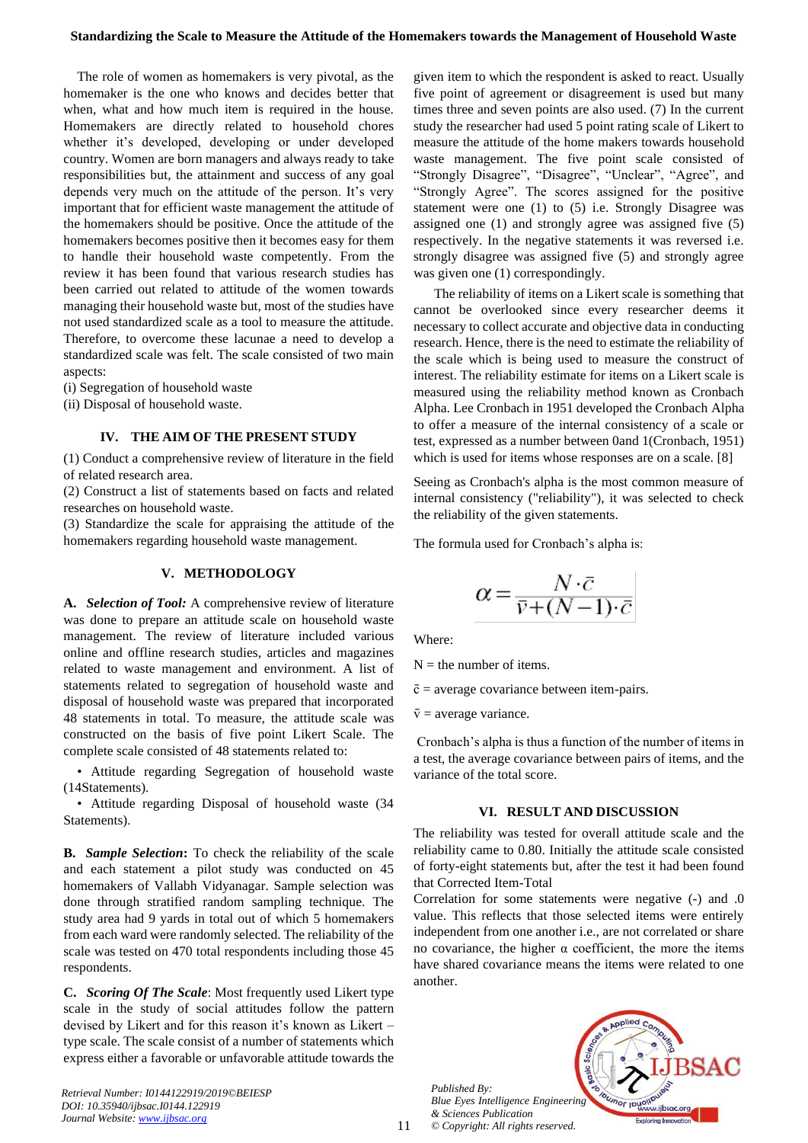The role of women as homemakers is very pivotal, as the homemaker is the one who knows and decides better that when, what and how much item is required in the house. Homemakers are directly related to household chores whether it's developed, developing or under developed country. Women are born managers and always ready to take responsibilities but, the attainment and success of any goal depends very much on the attitude of the person. It's very important that for efficient waste management the attitude of the homemakers should be positive. Once the attitude of the homemakers becomes positive then it becomes easy for them to handle their household waste competently. From the review it has been found that various research studies has been carried out related to attitude of the women towards managing their household waste but, most of the studies have not used standardized scale as a tool to measure the attitude. Therefore, to overcome these lacunae a need to develop a standardized scale was felt. The scale consisted of two main aspects:

(i) Segregation of household waste

(ii) Disposal of household waste.

## **IV. THE AIM OF THE PRESENT STUDY**

(1) Conduct a comprehensive review of literature in the field of related research area.

(2) Construct a list of statements based on facts and related researches on household waste.

(3) Standardize the scale for appraising the attitude of the homemakers regarding household waste management.

## **V. METHODOLOGY**

**A.** *Selection of Tool:* A comprehensive review of literature was done to prepare an attitude scale on household waste management. The review of literature included various online and offline research studies, articles and magazines related to waste management and environment. A list of statements related to segregation of household waste and disposal of household waste was prepared that incorporated 48 statements in total. To measure, the attitude scale was constructed on the basis of five point Likert Scale. The complete scale consisted of 48 statements related to:

• Attitude regarding Segregation of household waste (14Statements).

• Attitude regarding Disposal of household waste (34 Statements).

**B.** *Sample Selection***:** To check the reliability of the scale and each statement a pilot study was conducted on 45 homemakers of Vallabh Vidyanagar. Sample selection was done through stratified random sampling technique. The study area had 9 yards in total out of which 5 homemakers from each ward were randomly selected. The reliability of the scale was tested on 470 total respondents including those 45 respondents.

**C.** *Scoring Of The Scale*: Most frequently used Likert type scale in the study of social attitudes follow the pattern devised by Likert and for this reason it's known as Likert – type scale. The scale consist of a number of statements which express either a favorable or unfavorable attitude towards the

*Retrieval Number: I0144122919/2019©BEIESP DOI: 10.35940/ijbsac.I0144.122919 Journal Website: [www.ijbsac.org](http://www.ijbsac.org/)*

given item to which the respondent is asked to react. Usually five point of agreement or disagreement is used but many times three and seven points are also used. (7) In the current study the researcher had used 5 point rating scale of Likert to measure the attitude of the home makers towards household waste management. The five point scale consisted of "Strongly Disagree", "Disagree", "Unclear", "Agree", and "Strongly Agree". The scores assigned for the positive statement were one (1) to (5) i.e. Strongly Disagree was assigned one (1) and strongly agree was assigned five (5) respectively. In the negative statements it was reversed i.e. strongly disagree was assigned five (5) and strongly agree was given one  $(1)$  correspondingly.

The reliability of items on a Likert scale is something that cannot be overlooked since every researcher deems it necessary to collect accurate and objective data in conducting research. Hence, there is the need to estimate the reliability of the scale which is being used to measure the construct of interest. The reliability estimate for items on a Likert scale is measured using the reliability method known as Cronbach Alpha. Lee Cronbach in 1951 developed the Cronbach Alpha to offer a measure of the internal consistency of a scale or test, expressed as a number between 0and 1(Cronbach, 1951) which is used for items whose responses are on a scale. [8]

Seeing as Cronbach's alpha is the most common measure of internal consistency ("reliability"), it was selected to check the reliability of the given statements.

The formula used for Cronbach's alpha is:

$$
\alpha = \frac{N \cdot \bar{c}}{\bar{v} + (N-1) \cdot \bar{c}}
$$

Where:

 $N =$  the number of items.

 $\bar{c}$  = average covariance between item-pairs.

 $\bar{v}$  = average variance.

Cronbach's alpha is thus a function of the number of items in a test, the average covariance between pairs of items, and the variance of the total score.

#### **VI. RESULT AND DISCUSSION**

The reliability was tested for overall attitude scale and the reliability came to 0.80. Initially the attitude scale consisted of forty-eight statements but, after the test it had been found that Corrected Item-Total

Correlation for some statements were negative (-) and .0 value. This reflects that those selected items were entirely independent from one another i.e., are not correlated or share no covariance, the higher α coefficient, the more the items have shared covariance means the items were related to one another.

*Published By: Blue Eyes Intelligence Engineering & Sciences Publication © Copyright: All rights reserved.*

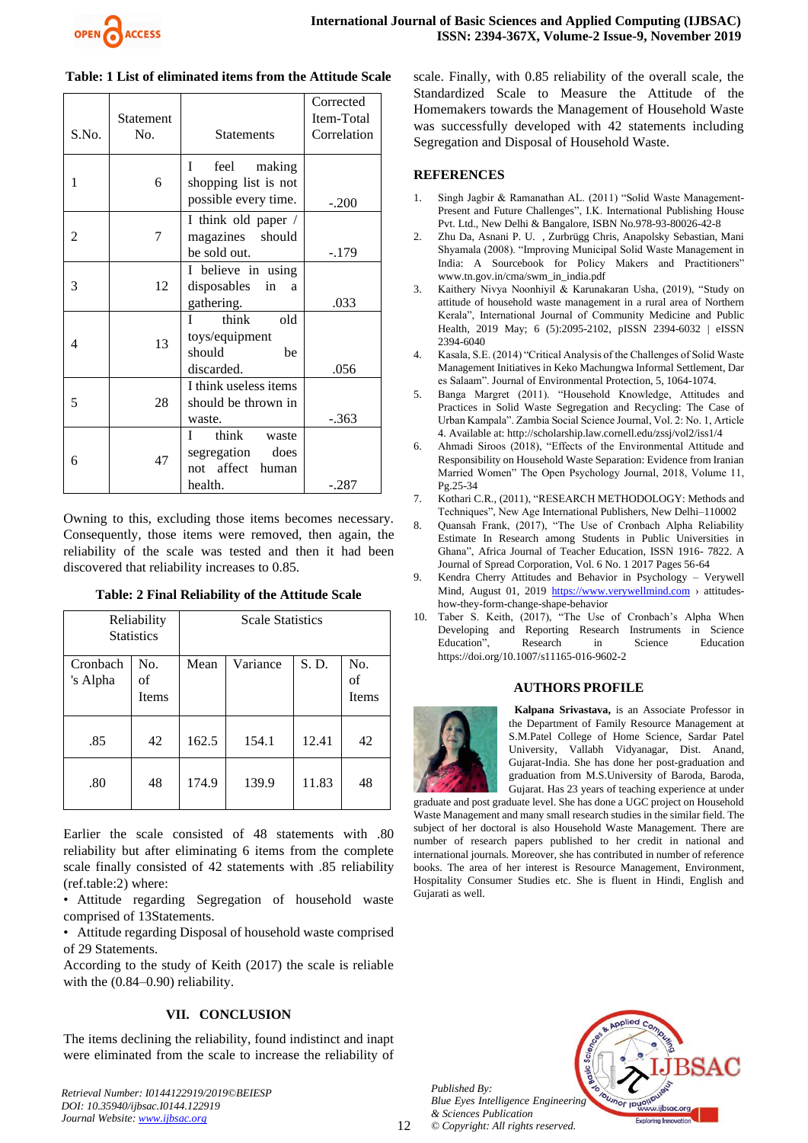

| S.No.          | <b>Statement</b><br>No. | <b>Statements</b>                                                            | Corrected<br>Item-Total<br>Correlation |  |
|----------------|-------------------------|------------------------------------------------------------------------------|----------------------------------------|--|
| 1              | 6                       | feel<br>making<br>L<br>shopping list is not<br>possible every time.          | $-.200$                                |  |
| $\mathfrak{D}$ | 7                       | I think old paper /<br>magazines should<br>be sold out.                      | $-.179$                                |  |
| 3              | 12                      | I believe in using<br>disposables<br>in<br>a<br>gathering.                   | .033                                   |  |
| 4              | 13                      | think<br>T<br>old<br>toys/equipment<br>should<br>be<br>discarded.            | .056                                   |  |
| 5              | 28                      | I think useless items<br>should be thrown in<br>waste.                       | $-.363$                                |  |
| 6              | 47                      | think<br>L<br>waste<br>segregation<br>does<br>not affect<br>human<br>health. | -.287                                  |  |

## **Table: 1 List of eliminated items from the Attitude Scale**

Owning to this, excluding those items becomes necessary. Consequently, those items were removed, then again, the reliability of the scale was tested and then it had been discovered that reliability increases to 0.85.

| Table: 2 Final Reliability of the Attitude Scale |  |
|--------------------------------------------------|--|
|                                                  |  |

| Reliability          |                    | <b>Scale Statistics</b> |          |       |                           |
|----------------------|--------------------|-------------------------|----------|-------|---------------------------|
| <b>Statistics</b>    |                    |                         |          |       |                           |
| Cronbach<br>'s Alpha | No.<br>of<br>Items | Mean                    | Variance | S. D. | No.<br>of<br><b>Items</b> |
| .85                  | 42                 | 162.5                   | 154.1    | 12.41 | 42                        |
| .80                  | 48                 | 174.9                   | 139.9    | 11.83 | 48                        |

Earlier the scale consisted of 48 statements with .80 reliability but after eliminating 6 items from the complete scale finally consisted of 42 statements with .85 reliability (ref.table:2) where:

• Attitude regarding Segregation of household waste comprised of 13Statements.

• Attitude regarding Disposal of household waste comprised of 29 Statements.

According to the study of Keith (2017) the scale is reliable with the (0.84–0.90) reliability.

# **VII. CONCLUSION**

The items declining the reliability, found indistinct and inapt were eliminated from the scale to increase the reliability of

*Retrieval Number: I0144122919/2019©BEIESP DOI: 10.35940/ijbsac.I0144.122919 Journal Website: [www.ijbsac.org](http://www.ijbsac.org/)*

scale. Finally, with 0.85 reliability of the overall scale, the Standardized Scale to Measure the Attitude of the Homemakers towards the Management of Household Waste was successfully developed with 42 statements including Segregation and Disposal of Household Waste.

# **REFERENCES**

- 1. Singh Jagbir & Ramanathan AL. (2011) "Solid Waste Management-Present and Future Challenges", I.K. International Publishing House Pvt. Ltd., New Delhi & Bangalore, ISBN No.978-93-80026-42-8
- 2. Zhu Da, Asnani P. U. , Zurbrügg Chris, Anapolsky Sebastian, Mani Shyamala (2008). "Improving Municipal Solid Waste Management in India: A Sourcebook for Policy Makers and Practitioners" www.tn.gov.in/cma/swm\_in\_india.pdf
- 3. Kaithery Nivya Noonhiyil & Karunakaran Usha, (2019), "Study on attitude of household waste management in a rural area of Northern Kerala", International Journal of Community Medicine and Public Health, 2019 May; 6 (5):2095-2102, pISSN 2394-6032 | eISSN 2394-6040
- 4. Kasala, S.E. (2014) "Critical Analysis of the Challenges of Solid Waste Management Initiatives in Keko Machungwa Informal Settlement, Dar es Salaam". Journal of Environmental Protection, 5, 1064-1074.
- 5. Banga Margret (2011). "Household Knowledge, Attitudes and Practices in Solid Waste Segregation and Recycling: The Case of Urban Kampala". Zambia Social Science Journal, Vol. 2: No. 1, Article 4. Available at: http://scholarship.law.cornell.edu/zssj/vol2/iss1/4
- 6. Ahmadi Siroos (2018), "Effects of the Environmental Attitude and Responsibility on Household Waste Separation: Evidence from Iranian Married Women" The Open Psychology Journal, 2018, Volume 11, Pg.25-34
- 7. Kothari C.R., (2011), "RESEARCH METHODOLOGY: Methods and Techniques", New Age International Publishers, New Delhi–110002
- 8. Quansah Frank, (2017), "The Use of Cronbach Alpha Reliability Estimate In Research among Students in Public Universities in Ghana", Africa Journal of Teacher Education, ISSN 1916- 7822. A Journal of Spread Corporation, Vol. 6 No. 1 2017 Pages 56-64
- 9. Kendra Cherry Attitudes and Behavior in Psychology Verywell Mind, August 01, 2019 [https://www.verywellmind.com](https://www.verywellmind.com/) > attitudeshow-they-form-change-shape-behavior
- Taber S. Keith, (2017), "The Use of Cronbach's Alpha When Developing and Reporting Research Instruments in Science Education", Research in Science Education https://doi.org/10.1007/s11165-016-9602-2

# **AUTHORS PROFILE**



 **Kalpana Srivastava,** is an Associate Professor in the Department of Family Resource Management at S.M.Patel College of Home Science, Sardar Patel University, Vallabh Vidyanagar, Dist. Anand, Gujarat-India. She has done her post-graduation and graduation from M.S.University of Baroda, Baroda, Gujarat. Has 23 years of teaching experience at under

graduate and post graduate level. She has done a UGC project on Household Waste Management and many small research studies in the similar field. The subject of her doctoral is also Household Waste Management. There are number of research papers published to her credit in national and international journals. Moreover, she has contributed in number of reference books. The area of her interest is Resource Management, Environment, Hospitality Consumer Studies etc. She is fluent in Hindi, English and Gujarati as well.

*Published By: Blue Eyes Intelligence Engineering & Sciences Publication © Copyright: All rights reserved.*